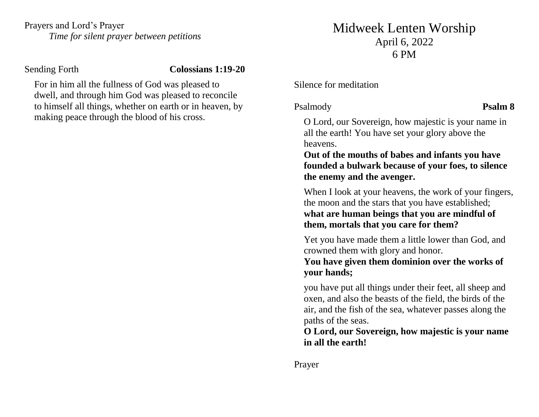Prayers and Lord's Prayer *Time for silent prayer between petitions*

Sending Forth **Colossians 1:19-20**

For in him all the fullness of God was pleased to dwell, and through him God was pleased to reconcile to himself all things, whether on earth or in heaven, by making peace through the blood of his cross.

# Midweek Lenten Worship April 6, 2022 6 PM

Silence for meditation

Psalmody **Psalm 8**

O Lord, our Sovereign, how majestic is your name in all the earth! You have set your glory above the heavens.

**Out of the mouths of babes and infants you have founded a bulwark because of your foes, to silence the enemy and the avenger.**

When I look at your heavens, the work of your fingers, the moon and the stars that you have established; **what are human beings that you are mindful of them, mortals that you care for them?**

Yet you have made them a little lower than God, and crowned them with glory and honor.

**You have given them dominion over the works of your hands;** 

you have put all things under their feet, all sheep and oxen, and also the beasts of the field, the birds of the air, and the fish of the sea, whatever passes along the paths of the seas.

**O Lord, our Sovereign, how majestic is your name in all the earth!**

Prayer